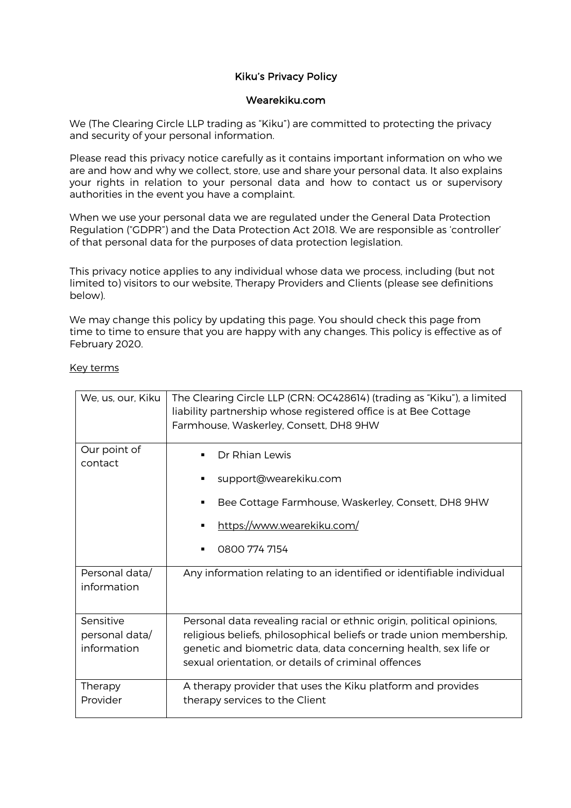# Kiku's Privacy Policy

## Wearekiku.com

We (The Clearing Circle LLP trading as "Kiku") are committed to protecting the privacy and security of your personal information.

Please read this privacy notice carefully as it contains important information on who we are and how and why we collect, store, use and share your personal data. It also explains your rights in relation to your personal data and how to contact us or supervisory authorities in the event you have a complaint.

When we use your personal data we are regulated under the General Data Protection Regulation ("GDPR") and the Data Protection Act 2018. We are responsible as 'controller' of that personal data for the purposes of data protection legislation.

This privacy notice applies to any individual whose data we process, including (but not limited to) visitors to our website, Therapy Providers and Clients (please see definitions below).

We may change this policy by updating this page. You should check this page from time to time to ensure that you are happy with any changes. This policy is effective as of February 2020.

### Key terms

| We, us, our, Kiku                          | The Clearing Circle LLP (CRN: OC428614) (trading as "Kiku"), a limited<br>liability partnership whose registered office is at Bee Cottage<br>Farmhouse, Waskerley, Consett, DH8 9HW                                                                                   |
|--------------------------------------------|-----------------------------------------------------------------------------------------------------------------------------------------------------------------------------------------------------------------------------------------------------------------------|
| Our point of<br>contact                    | Dr Rhian Lewis<br>٠<br>support@wearekiku.com<br>٠<br>Bee Cottage Farmhouse, Waskerley, Consett, DH8 9HW<br>٠<br>https://www.wearekiku.com/<br>0800 774 7154<br>٠                                                                                                      |
| Personal data/<br>information              | Any information relating to an identified or identifiable individual                                                                                                                                                                                                  |
| Sensitive<br>personal data/<br>information | Personal data revealing racial or ethnic origin, political opinions,<br>religious beliefs, philosophical beliefs or trade union membership,<br>genetic and biometric data, data concerning health, sex life or<br>sexual orientation, or details of criminal offences |
| Therapy<br>Provider                        | A therapy provider that uses the Kiku platform and provides<br>therapy services to the Client                                                                                                                                                                         |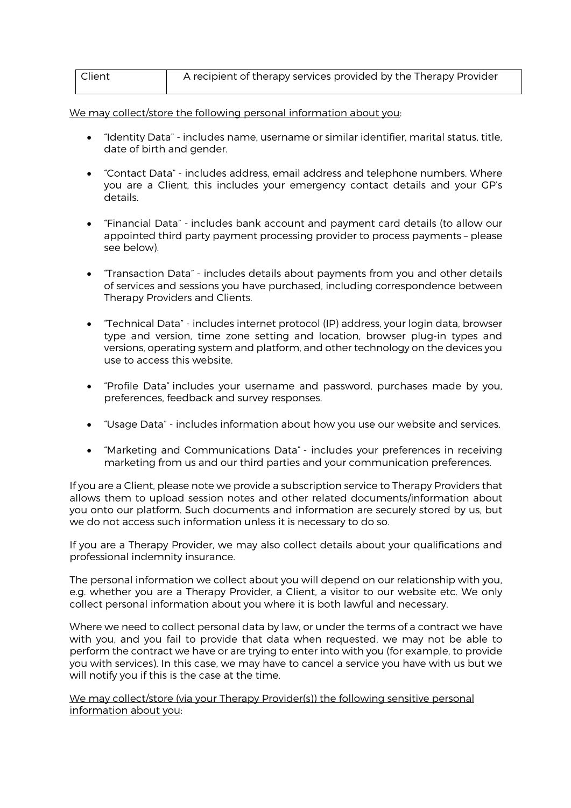| Client | A recipient of therapy services provided by the Therapy Provider |
|--------|------------------------------------------------------------------|
|        |                                                                  |

We may collect/store the following personal information about you:

- "Identity Data" includes name, username or similar identifier, marital status, title, date of birth and gender.
- "Contact Data" includes address, email address and telephone numbers. Where you are a Client, this includes your emergency contact details and your GP's details.
- "Financial Data" includes bank account and payment card details (to allow our appointed third party payment processing provider to process payments – please see below).
- "Transaction Data" includes details about payments from you and other details of services and sessions you have purchased, including correspondence between Therapy Providers and Clients.
- "Technical Data" includes internet protocol (IP) address, your login data, browser type and version, time zone setting and location, browser plug-in types and versions, operating system and platform, and other technology on the devices you use to access this website.
- "Profile Data" includes your username and password, purchases made by you, preferences, feedback and survey responses.
- "Usage Data" includes information about how you use our website and services.
- "Marketing and Communications Data" includes your preferences in receiving marketing from us and our third parties and your communication preferences.

If you are a Client, please note we provide a subscription service to Therapy Providers that allows them to upload session notes and other related documents/information about you onto our platform. Such documents and information are securely stored by us, but we do not access such information unless it is necessary to do so.

If you are a Therapy Provider, we may also collect details about your qualifications and professional indemnity insurance.

The personal information we collect about you will depend on our relationship with you, e.g. whether you are a Therapy Provider, a Client, a visitor to our website etc. We only collect personal information about you where it is both lawful and necessary.

Where we need to collect personal data by law, or under the terms of a contract we have with you, and you fail to provide that data when requested, we may not be able to perform the contract we have or are trying to enter into with you (for example, to provide you with services). In this case, we may have to cancel a service you have with us but we will notify you if this is the case at the time.

We may collect/store (via your Therapy Provider(s)) the following sensitive personal information about you: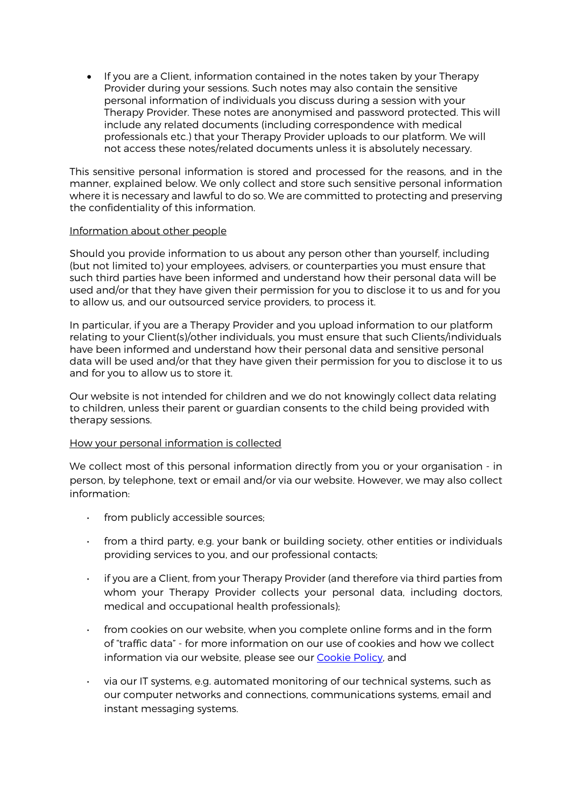• If you are a Client, information contained in the notes taken by your Therapy Provider during your sessions. Such notes may also contain the sensitive personal information of individuals you discuss during a session with your Therapy Provider. These notes are anonymised and password protected. This will include any related documents (including correspondence with medical professionals etc.) that your Therapy Provider uploads to our platform. We will not access these notes/related documents unless it is absolutely necessary.

This sensitive personal information is stored and processed for the reasons, and in the manner, explained below. We only collect and store such sensitive personal information where it is necessary and lawful to do so. We are committed to protecting and preserving the confidentiality of this information.

#### Information about other people

Should you provide information to us about any person other than yourself, including (but not limited to) your employees, advisers, or counterparties you must ensure that such third parties have been informed and understand how their personal data will be used and/or that they have given their permission for you to disclose it to us and for you to allow us, and our outsourced service providers, to process it.

In particular, if you are a Therapy Provider and you upload information to our platform relating to your Client(s)/other individuals, you must ensure that such Clients/individuals have been informed and understand how their personal data and sensitive personal data will be used and/or that they have given their permission for you to disclose it to us and for you to allow us to store it.

Our website is not intended for children and we do not knowingly collect data relating to children, unless their parent or guardian consents to the child being provided with therapy sessions.

## How your personal information is collected

We collect most of this personal information directly from you or your organisation - in person, by telephone, text or email and/or via our website. However, we may also collect information:

- from publicly accessible sources;
- from a third party, e.g. your bank or building society, other entities or individuals providing services to you, and our professional contacts;
- if you are a Client, from your Therapy Provider (and therefore via third parties from whom your Therapy Provider collects your personal data, including doctors, medical and occupational health professionals);
- from cookies on our website, when you complete online forms and in the form of "traffic data" - for more information on our use of cookies and how we collect information via our website, please see our Cookie Policy, and
- via our IT systems, e.g. automated monitoring of our technical systems, such as our computer networks and connections, communications systems, email and instant messaging systems.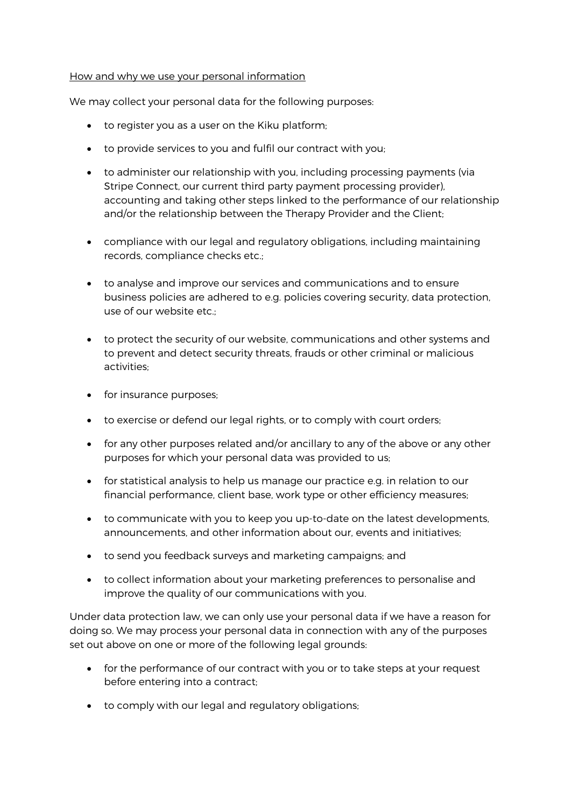### How and why we use your personal information

We may collect your personal data for the following purposes:

- to register you as a user on the Kiku platform;
- to provide services to you and fulfil our contract with you;
- to administer our relationship with you, including processing payments (via Stripe Connect, our current third party payment processing provider), accounting and taking other steps linked to the performance of our relationship and/or the relationship between the Therapy Provider and the Client;
- compliance with our legal and regulatory obligations, including maintaining records, compliance checks etc.;
- to analyse and improve our services and communications and to ensure business policies are adhered to e.g. policies covering security, data protection, use of our website etc.;
- to protect the security of our website, communications and other systems and to prevent and detect security threats, frauds or other criminal or malicious activities;
- for insurance purposes;
- to exercise or defend our legal rights, or to comply with court orders;
- for any other purposes related and/or ancillary to any of the above or any other purposes for which your personal data was provided to us;
- for statistical analysis to help us manage our practice e.g. in relation to our financial performance, client base, work type or other efficiency measures;
- to communicate with you to keep you up-to-date on the latest developments, announcements, and other information about our, events and initiatives;
- to send you feedback surveys and marketing campaigns; and
- to collect information about your marketing preferences to personalise and improve the quality of our communications with you.

Under data protection law, we can only use your personal data if we have a reason for doing so. We may process your personal data in connection with any of the purposes set out above on one or more of the following legal grounds:

- for the performance of our contract with you or to take steps at your request before entering into a contract;
- to comply with our legal and regulatory obligations;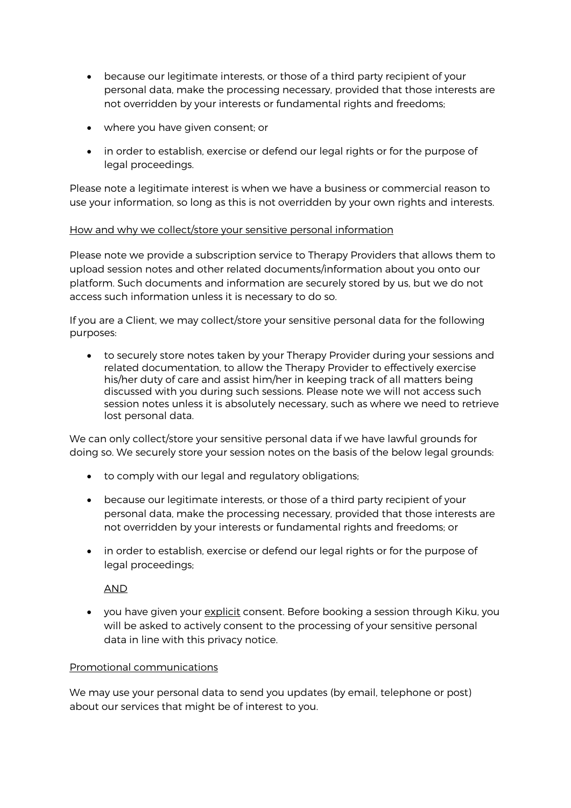- because our legitimate interests, or those of a third party recipient of your personal data, make the processing necessary, provided that those interests are not overridden by your interests or fundamental rights and freedoms;
- where you have given consent; or
- in order to establish, exercise or defend our legal rights or for the purpose of legal proceedings.

Please note a legitimate interest is when we have a business or commercial reason to use your information, so long as this is not overridden by your own rights and interests.

# How and why we collect/store your sensitive personal information

Please note we provide a subscription service to Therapy Providers that allows them to upload session notes and other related documents/information about you onto our platform. Such documents and information are securely stored by us, but we do not access such information unless it is necessary to do so.

If you are a Client, we may collect/store your sensitive personal data for the following purposes:

• to securely store notes taken by your Therapy Provider during your sessions and related documentation, to allow the Therapy Provider to effectively exercise his/her duty of care and assist him/her in keeping track of all matters being discussed with you during such sessions. Please note we will not access such session notes unless it is absolutely necessary, such as where we need to retrieve lost personal data.

We can only collect/store your sensitive personal data if we have lawful grounds for doing so. We securely store your session notes on the basis of the below legal grounds:

- to comply with our legal and regulatory obligations;
- because our legitimate interests, or those of a third party recipient of your personal data, make the processing necessary, provided that those interests are not overridden by your interests or fundamental rights and freedoms; or
- in order to establish, exercise or defend our legal rights or for the purpose of legal proceedings;

AND

• you have given your explicit consent. Before booking a session through Kiku, you will be asked to actively consent to the processing of your sensitive personal data in line with this privacy notice.

## Promotional communications

We may use your personal data to send you updates (by email, telephone or post) about our services that might be of interest to you.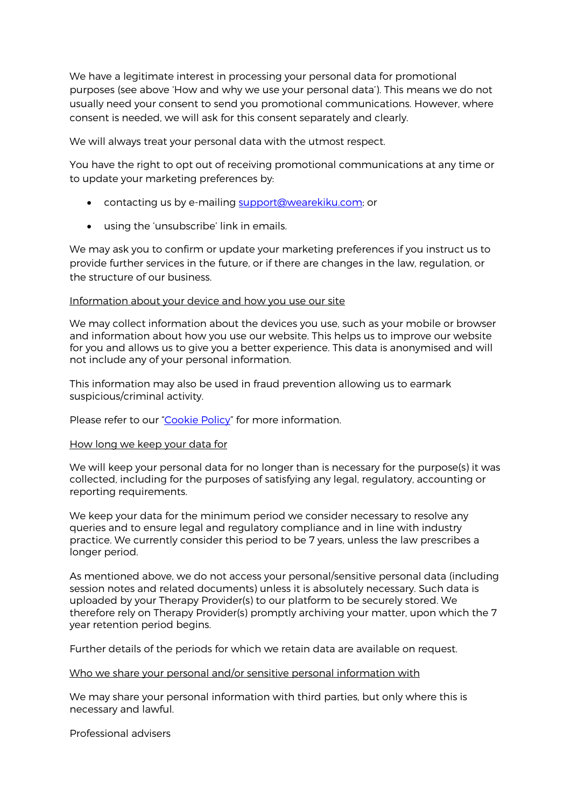We have a legitimate interest in processing your personal data for promotional purposes (see above 'How and why we use your personal data'). This means we do not usually need your consent to send you promotional communications. However, where consent is needed, we will ask for this consent separately and clearly.

We will always treat your personal data with the utmost respect.

You have the right to opt out of receiving promotional communications at any time or to update your marketing preferences by:

- contacting us by e-mailing support@wearekiku.com; or
- using the 'unsubscribe' link in emails.

We may ask you to confirm or update your marketing preferences if you instruct us to provide further services in the future, or if there are changes in the law, regulation, or the structure of our business.

#### Information about your device and how you use our site

We may collect information about the devices you use, such as your mobile or browser and information about how you use our website. This helps us to improve our website for you and allows us to give you a better experience. This data is anonymised and will not include any of your personal information.

This information may also be used in fraud prevention allowing us to earmark suspicious/criminal activity.

Please refer to our "Cookie Policy" for more information.

#### How long we keep your data for

We will keep your personal data for no longer than is necessary for the purpose(s) it was collected, including for the purposes of satisfying any legal, regulatory, accounting or reporting requirements.

We keep your data for the minimum period we consider necessary to resolve any queries and to ensure legal and regulatory compliance and in line with industry practice. We currently consider this period to be 7 years, unless the law prescribes a longer period.

As mentioned above, we do not access your personal/sensitive personal data (including session notes and related documents) unless it is absolutely necessary. Such data is uploaded by your Therapy Provider(s) to our platform to be securely stored. We therefore rely on Therapy Provider(s) promptly archiving your matter, upon which the 7 year retention period begins.

Further details of the periods for which we retain data are available on request.

#### Who we share your personal and/or sensitive personal information with

We may share your personal information with third parties, but only where this is necessary and lawful.

Professional advisers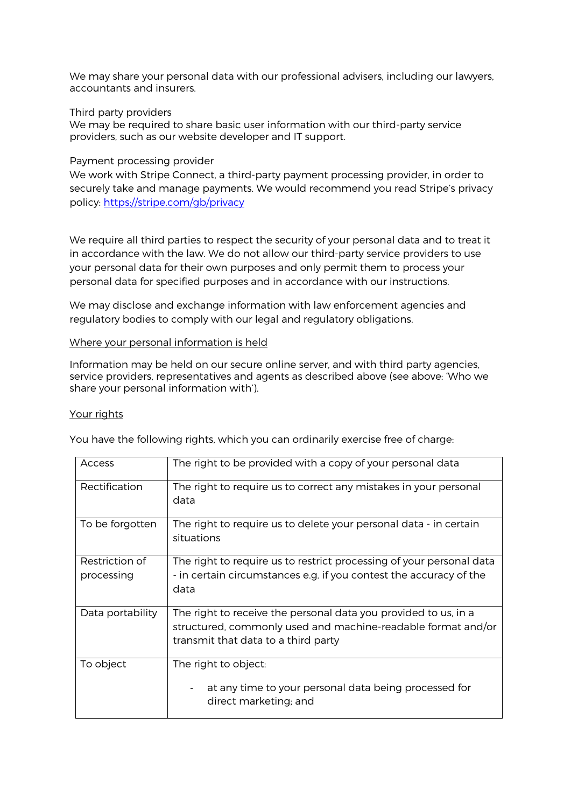We may share your personal data with our professional advisers, including our lawyers, accountants and insurers.

### Third party providers

We may be required to share basic user information with our third-party service providers, such as our website developer and IT support.

#### Payment processing provider

We work with Stripe Connect, a third-party payment processing provider, in order to securely take and manage payments. We would recommend you read Stripe's privacy policy: https://stripe.com/gb/privacy

We require all third parties to respect the security of your personal data and to treat it in accordance with the law. We do not allow our third-party service providers to use your personal data for their own purposes and only permit them to process your personal data for specified purposes and in accordance with our instructions.

We may disclose and exchange information with law enforcement agencies and regulatory bodies to comply with our legal and regulatory obligations.

### Where your personal information is held

Information may be held on our secure online server, and with third party agencies, service providers, representatives and agents as described above (see above: 'Who we share your personal information with').

#### Your rights

| <b>Access</b>                | The right to be provided with a copy of your personal data                                                                                                             |
|------------------------------|------------------------------------------------------------------------------------------------------------------------------------------------------------------------|
| Rectification                | The right to require us to correct any mistakes in your personal<br>data                                                                                               |
| To be forgotten              | The right to require us to delete your personal data - in certain<br>situations                                                                                        |
| Restriction of<br>processing | The right to require us to restrict processing of your personal data<br>- in certain circumstances e.g. if you contest the accuracy of the<br>data                     |
| Data portability             | The right to receive the personal data you provided to us, in a<br>structured, commonly used and machine-readable format and/or<br>transmit that data to a third party |
| To object                    | The right to object:<br>at any time to your personal data being processed for<br>direct marketing; and                                                                 |

You have the following rights, which you can ordinarily exercise free of charge: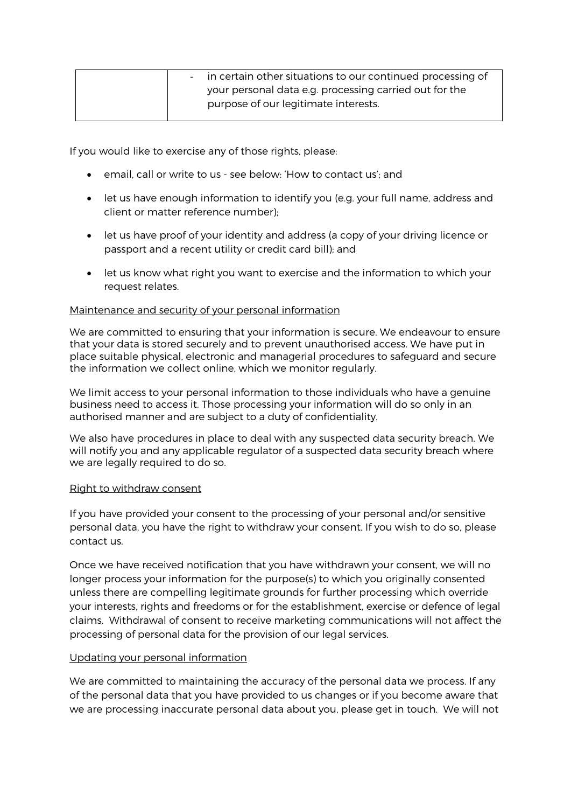| - in certain other situations to our continued processing of |
|--------------------------------------------------------------|
| your personal data e.g. processing carried out for the       |
| purpose of our legitimate interests.                         |

If you would like to exercise any of those rights, please:

- email, call or write to us see below: 'How to contact us'; and
- let us have enough information to identify you (e.g. your full name, address and client or matter reference number);
- let us have proof of your identity and address (a copy of your driving licence or passport and a recent utility or credit card bill); and
- let us know what right you want to exercise and the information to which your request relates.

## Maintenance and security of your personal information

We are committed to ensuring that your information is secure. We endeavour to ensure that your data is stored securely and to prevent unauthorised access. We have put in place suitable physical, electronic and managerial procedures to safeguard and secure the information we collect online, which we monitor regularly.

We limit access to your personal information to those individuals who have a genuine business need to access it. Those processing your information will do so only in an authorised manner and are subject to a duty of confidentiality.

We also have procedures in place to deal with any suspected data security breach. We will notify you and any applicable regulator of a suspected data security breach where we are legally required to do so.

#### Right to withdraw consent

If you have provided your consent to the processing of your personal and/or sensitive personal data, you have the right to withdraw your consent. If you wish to do so, please contact us.

Once we have received notification that you have withdrawn your consent, we will no longer process your information for the purpose(s) to which you originally consented unless there are compelling legitimate grounds for further processing which override your interests, rights and freedoms or for the establishment, exercise or defence of legal claims. Withdrawal of consent to receive marketing communications will not affect the processing of personal data for the provision of our legal services.

## Updating your personal information

We are committed to maintaining the accuracy of the personal data we process. If any of the personal data that you have provided to us changes or if you become aware that we are processing inaccurate personal data about you, please get in touch. We will not